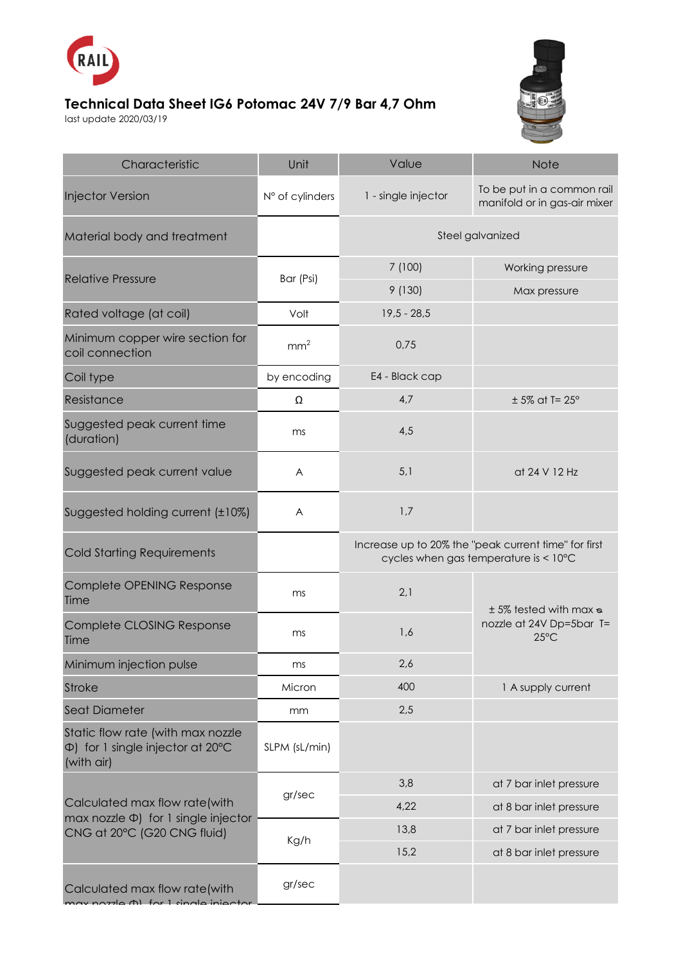

## **Technical Data Sheet IG6 Potomac 24V 7/9 Bar 4,7 Ohm**

last update 2020/03/19



| Characteristic                                                                                            | Unit            | Value                                                                                         | <b>Note</b>                                                                    |
|-----------------------------------------------------------------------------------------------------------|-----------------|-----------------------------------------------------------------------------------------------|--------------------------------------------------------------------------------|
| <b>Injector Version</b>                                                                                   | N° of cylinders | 1 - single injector                                                                           | To be put in a common rail<br>manifold or in gas-air mixer                     |
| Material body and treatment                                                                               |                 | Steel galvanized                                                                              |                                                                                |
| <b>Relative Pressure</b>                                                                                  | Bar (Psi)       | 7 (100)                                                                                       | Working pressure                                                               |
|                                                                                                           |                 | 9(130)                                                                                        | Max pressure                                                                   |
| Rated voltage (at coil)                                                                                   | Volt            | $19,5 - 28,5$                                                                                 |                                                                                |
| Minimum copper wire section for<br>coil connection                                                        | mm <sup>2</sup> | 0,75                                                                                          |                                                                                |
| Coil type                                                                                                 | by encoding     | E4 - Black cap                                                                                |                                                                                |
| Resistance                                                                                                | Ω               | 4,7                                                                                           | $± 5\%$ at T= 25°                                                              |
| Suggested peak current time<br>(duration)                                                                 | ms              | 4,5                                                                                           |                                                                                |
| Suggested peak current value                                                                              | A               | 5,1                                                                                           | at 24 V 12 Hz                                                                  |
| Suggested holding current (±10%)                                                                          | A               | 1,7                                                                                           |                                                                                |
| <b>Cold Starting Requirements</b>                                                                         |                 | Increase up to 20% the "peak current time" for first<br>cycles when gas temperature is < 10°C |                                                                                |
| Complete OPENING Response<br>Time                                                                         | ms              | 2,1                                                                                           | $± 5\%$ tested with max $\infty$<br>nozzle at 24V Dp=5bar T=<br>$25^{\circ}$ C |
| Complete CLOSING Response<br>Time                                                                         | ms              | 1,6                                                                                           |                                                                                |
| Minimum injection pulse                                                                                   | ms              | 2,6                                                                                           |                                                                                |
| <b>Stroke</b>                                                                                             | Micron          | 400                                                                                           | 1 A supply current                                                             |
| <b>Seat Diameter</b>                                                                                      | mm              | 2,5                                                                                           |                                                                                |
| Static flow rate (with max nozzle<br>$\Phi$ ) for 1 single injector at 20 $\degree$ C<br>(with air)       | SLPM (sL/min)   |                                                                                               |                                                                                |
| Calculated max flow rate(with<br>max nozzle $\Phi$ ) for 1 single injector<br>CNG at 20°C (G20 CNG fluid) | gr/sec          | 3,8                                                                                           | at 7 bar inlet pressure                                                        |
|                                                                                                           |                 | 4,22                                                                                          | at 8 bar inlet pressure                                                        |
|                                                                                                           | Kg/h            | 13,8                                                                                          | at 7 bar inlet pressure                                                        |
|                                                                                                           |                 | 15,2                                                                                          | at 8 bar inlet pressure                                                        |
| Calculated max flow rate(with<br>(1) for 1 single inje                                                    | gr/sec          |                                                                                               |                                                                                |